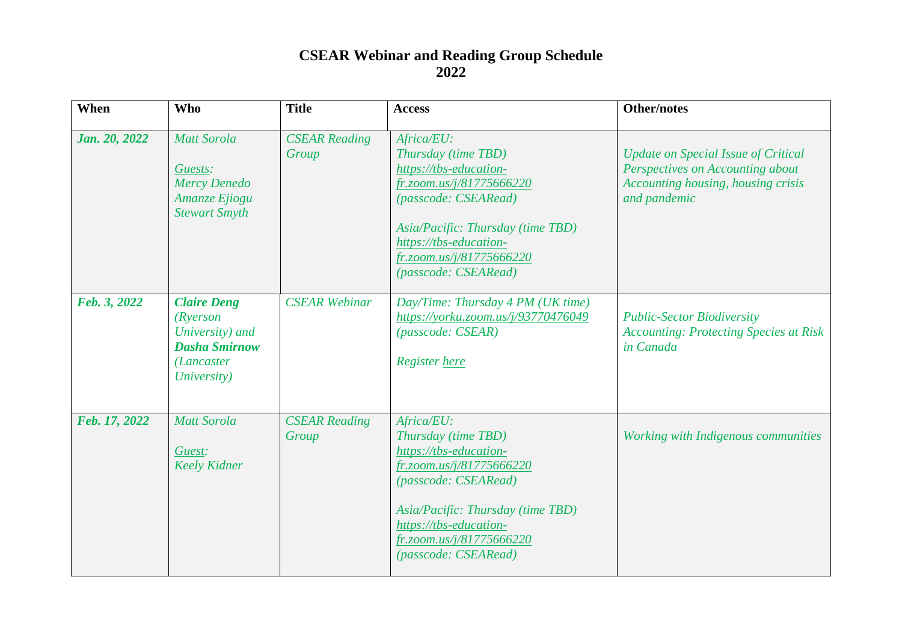| When          | <b>Who</b>                                                                                                    | <b>Title</b>                  | <b>Access</b>                                                                                                                                                                                                                      | <b>Other/notes</b>                                                                                                                   |
|---------------|---------------------------------------------------------------------------------------------------------------|-------------------------------|------------------------------------------------------------------------------------------------------------------------------------------------------------------------------------------------------------------------------------|--------------------------------------------------------------------------------------------------------------------------------------|
| Jan. 20, 2022 | <b>Matt Sorola</b><br>Guests:<br><b>Mercy Denedo</b><br>Amanze Ejiogu<br><b>Stewart Smyth</b>                 | <b>CSEAR Reading</b><br>Group | Africa/EU:<br>Thursday (time TBD)<br>https://tbs-education-<br>fr.zoom.us/j/81775666220<br>(passcode: CSEARead)<br>Asia/Pacific: Thursday (time TBD)<br>https://tbs-education-<br>fr.zoom.us/j/81775666220<br>(passcode: CSEARead) | <b>Update on Special Issue of Critical</b><br>Perspectives on Accounting about<br>Accounting housing, housing crisis<br>and pandemic |
| Feb. 3, 2022  | <b>Claire Deng</b><br>(Ryerson<br>University) and<br><b>Dasha Smirnow</b><br><i>(Lancaster</i><br>University) | <b>CSEAR</b> Webinar          | Day/Time: Thursday 4 PM (UK time)<br>https://yorku.zoom.us/j/93770476049<br>(passocode: CSEARCH)<br>Register here                                                                                                                  | <b>Public-Sector Biodiversity</b><br><b>Accounting: Protecting Species at Risk</b><br>in Canada                                      |
| Feb. 17, 2022 | <b>Matt Sorola</b><br>Guest:<br><b>Keely Kidner</b>                                                           | <b>CSEAR Reading</b><br>Group | Africa/EU:<br>Thursday (time TBD)<br>https://tbs-education-<br>fr.zoom.us/j/81775666220<br>(passcode: CSEARead)<br>Asia/Pacific: Thursday (time TBD)<br>https://tbs-education-<br>fr.zoom.us/j/81775666220<br>(passcode: CSEARead) | Working with Indigenous communities                                                                                                  |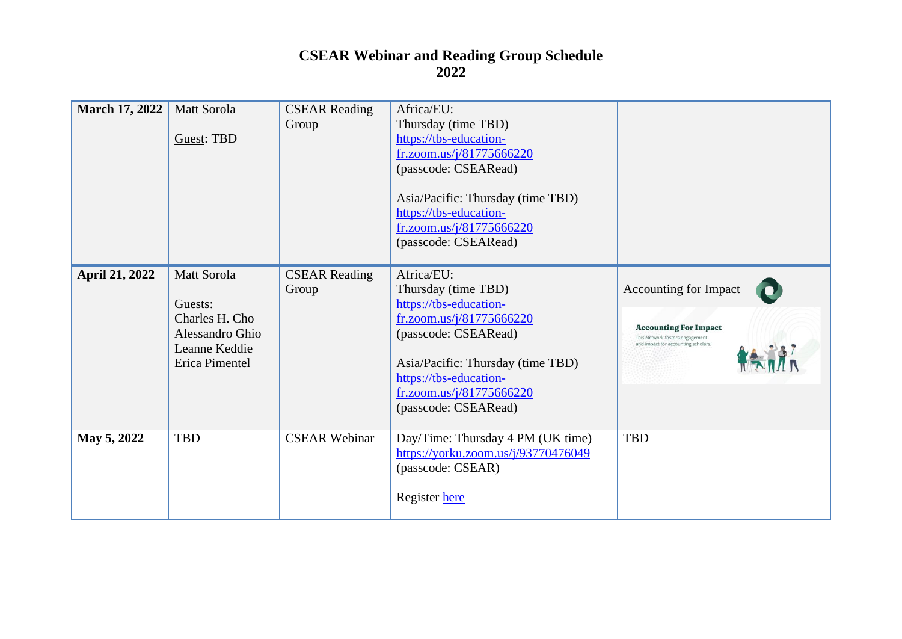| <b>March 17, 2022</b> | Matt Sorola<br>Guest: TBD                                                                      | <b>CSEAR Reading</b><br>Group | Africa/EU:<br>Thursday (time TBD)<br>https://tbs-education-<br>fr.zoom.us/j/81775666220<br>(passcode: CSEARead)<br>Asia/Pacific: Thursday (time TBD)<br>https://tbs-education-<br>fr.zoom.us/j/81775666220<br>(passcode: CSEARead) |                                                                                                                                                        |
|-----------------------|------------------------------------------------------------------------------------------------|-------------------------------|------------------------------------------------------------------------------------------------------------------------------------------------------------------------------------------------------------------------------------|--------------------------------------------------------------------------------------------------------------------------------------------------------|
| <b>April 21, 2022</b> | Matt Sorola<br>Guests:<br>Charles H. Cho<br>Alessandro Ghio<br>Leanne Keddie<br>Erica Pimentel | <b>CSEAR Reading</b><br>Group | Africa/EU:<br>Thursday (time TBD)<br>https://tbs-education-<br>fr.zoom.us/j/81775666220<br>(passcode: CSEARead)<br>Asia/Pacific: Thursday (time TBD)<br>https://tbs-education-<br>fr.zoom.us/j/81775666220<br>(passcode: CSEARead) | <b>Accounting for Impact</b><br><b>Accounting For Impact</b><br>This Network fosters engagement<br>and impact for accounting scholars.<br>$\mathbf{A}$ |
| May 5, 2022           | <b>TBD</b>                                                                                     | <b>CSEAR Webinar</b>          | Day/Time: Thursday 4 PM (UK time)<br>https://yorku.zoom.us/j/93770476049<br>(passcode: CSEAR)<br>Register here                                                                                                                     | <b>TBD</b>                                                                                                                                             |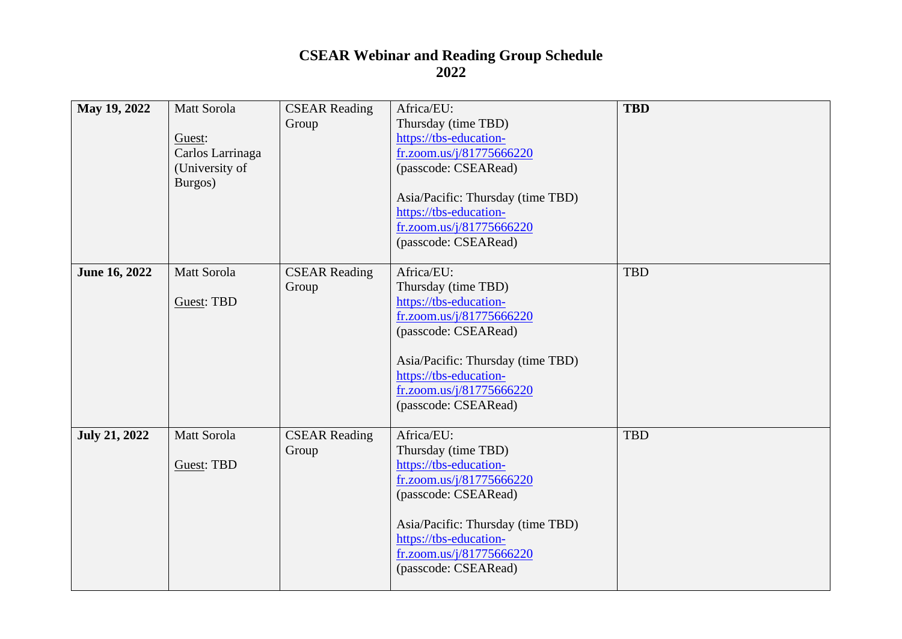| May 19, 2022         | Matt Sorola      | <b>CSEAR Reading</b> | Africa/EU:                                         | <b>TBD</b> |
|----------------------|------------------|----------------------|----------------------------------------------------|------------|
|                      |                  | Group                | Thursday (time TBD)                                |            |
|                      | Guest:           |                      | https://tbs-education-                             |            |
|                      | Carlos Larrinaga |                      | fr.zoom.us/j/81775666220                           |            |
|                      | (University of   |                      | (passcode: CSEARead)                               |            |
|                      | Burgos)          |                      |                                                    |            |
|                      |                  |                      | Asia/Pacific: Thursday (time TBD)                  |            |
|                      |                  |                      | https://tbs-education-                             |            |
|                      |                  |                      | fr.zoom.us/j/81775666220                           |            |
|                      |                  |                      | (passcode: CSEARead)                               |            |
|                      |                  |                      |                                                    |            |
| June 16, 2022        | Matt Sorola      | <b>CSEAR Reading</b> | Africa/EU:                                         | <b>TBD</b> |
|                      |                  | Group                | Thursday (time TBD)                                |            |
|                      | Guest: TBD       |                      | https://tbs-education-                             |            |
|                      |                  |                      | fr.zoom.us/j/81775666220<br>(passcode: CSEARead)   |            |
|                      |                  |                      |                                                    |            |
|                      |                  |                      | Asia/Pacific: Thursday (time TBD)                  |            |
|                      |                  |                      | https://tbs-education-                             |            |
|                      |                  |                      | fr.zoom.us/j/81775666220                           |            |
|                      |                  |                      | (passcode: CSEARead)                               |            |
|                      |                  |                      |                                                    |            |
| <b>July 21, 2022</b> | Matt Sorola      | <b>CSEAR Reading</b> | Africa/EU:                                         | <b>TBD</b> |
|                      |                  | Group                | Thursday (time TBD)                                |            |
|                      | Guest: TBD       |                      | https://tbs-education-                             |            |
|                      |                  |                      | fr.zoom.us/j/81775666220                           |            |
|                      |                  |                      | (passcode: CSEARead)                               |            |
|                      |                  |                      |                                                    |            |
|                      |                  |                      | Asia/Pacific: Thursday (time TBD)                  |            |
|                      |                  |                      | https://tbs-education-<br>fr.zoom.us/j/81775666220 |            |
|                      |                  |                      | (passcode: CSEARead)                               |            |
|                      |                  |                      |                                                    |            |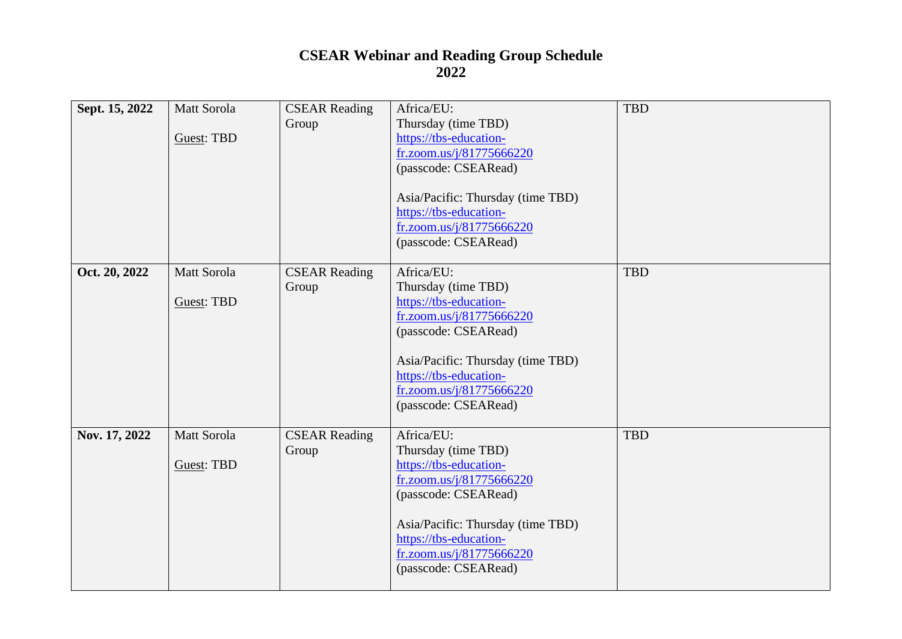| Sept. 15, 2022 | Matt Sorola | <b>CSEAR Reading</b> | Africa/EU:                        | <b>TBD</b> |
|----------------|-------------|----------------------|-----------------------------------|------------|
|                |             | Group                | Thursday (time TBD)               |            |
|                | Guest: TBD  |                      | https://tbs-education-            |            |
|                |             |                      | fr.zoom.us/j/81775666220          |            |
|                |             |                      | (passcode: CSEARead)              |            |
|                |             |                      |                                   |            |
|                |             |                      | Asia/Pacific: Thursday (time TBD) |            |
|                |             |                      | https://tbs-education-            |            |
|                |             |                      | fr.zoom.us/j/81775666220          |            |
|                |             |                      | (passcode: CSEARead)              |            |
|                |             |                      |                                   |            |
| Oct. 20, 2022  | Matt Sorola | <b>CSEAR Reading</b> | Africa/EU:                        | <b>TBD</b> |
|                |             | Group                | Thursday (time TBD)               |            |
|                | Guest: TBD  |                      | https://tbs-education-            |            |
|                |             |                      | fr.zoom.us/j/81775666220          |            |
|                |             |                      | (passcode: CSEARead)              |            |
|                |             |                      | Asia/Pacific: Thursday (time TBD) |            |
|                |             |                      | https://tbs-education-            |            |
|                |             |                      | fr.zoom.us/j/81775666220          |            |
|                |             |                      | (passcode: CSEARead)              |            |
|                |             |                      |                                   |            |
| Nov. 17, 2022  | Matt Sorola | <b>CSEAR Reading</b> | Africa/EU:                        | <b>TBD</b> |
|                |             | Group                | Thursday (time TBD)               |            |
|                | Guest: TBD  |                      | https://tbs-education-            |            |
|                |             |                      | fr.zoom.us/j/81775666220          |            |
|                |             |                      | (passcode: CSEARead)              |            |
|                |             |                      |                                   |            |
|                |             |                      | Asia/Pacific: Thursday (time TBD) |            |
|                |             |                      | https://tbs-education-            |            |
|                |             |                      | fr.zoom.us/j/81775666220          |            |
|                |             |                      | (passcode: CSEARead)              |            |
|                |             |                      |                                   |            |